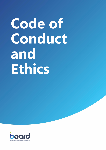# **Code of Conduct and Ethics**

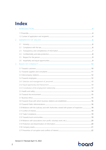### **Index**

| $\mathcal{L}$ |                                                                                            |  |
|---------------|--------------------------------------------------------------------------------------------|--|
|               |                                                                                            |  |
|               |                                                                                            |  |
| 2.            |                                                                                            |  |
|               | 2.1                                                                                        |  |
|               | 2.2                                                                                        |  |
|               | 2.3                                                                                        |  |
|               | 2.4                                                                                        |  |
|               | 2.5                                                                                        |  |
|               | 2.6                                                                                        |  |
| 3.            |                                                                                            |  |
|               |                                                                                            |  |
|               |                                                                                            |  |
|               |                                                                                            |  |
|               |                                                                                            |  |
|               |                                                                                            |  |
|               |                                                                                            |  |
|               |                                                                                            |  |
|               |                                                                                            |  |
|               |                                                                                            |  |
|               |                                                                                            |  |
|               |                                                                                            |  |
|               |                                                                                            |  |
|               | 3.10 Relations with the Judiciary and with Authorities vested with powers of inspection 18 |  |
|               |                                                                                            |  |
|               |                                                                                            |  |
|               |                                                                                            |  |
|               |                                                                                            |  |
|               |                                                                                            |  |
|               |                                                                                            |  |
|               |                                                                                            |  |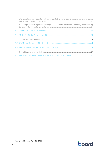| 3.18 Compliance with legislation relating to combating crimes against industry and commerce and  |  |
|--------------------------------------------------------------------------------------------------|--|
| 3.19 Compliance with legislation relating to anti-terrorism, anti-money laundering and combating |  |
|                                                                                                  |  |
|                                                                                                  |  |
|                                                                                                  |  |
|                                                                                                  |  |
|                                                                                                  |  |
|                                                                                                  |  |
|                                                                                                  |  |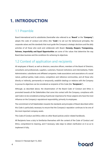### <span id="page-3-0"></span>**1. INTRODUCTION**

#### <span id="page-3-1"></span>1.1 Preamble

Board International and its subsidiaries (hereinafter also referred to as "**Board**" or the "**Company**") adopts this code of conduct and ethics (the "**Code**") to set out the behavioural principles, the corporate values and the standards that must guide the Company's strategic decisions and the daily activities of all those who work and collaborate with Board. **Honesty, Respect, Transparency, Fairness, Impartiality and Equal Opportunities** are some of the values that determine the way Board does business and the conditions for achieving its objectives.

#### <span id="page-3-2"></span>1.2 Context of application and recipients

All employees of Board, as well as directors, executive officers, members of the Board of Directors, consultants and professionals, suppliers, customers, financial institutions and intermediaries, Public Administration, subsidiaries and affiliated companies, trade associations and associations of a social nature, political parties, trade unions, competitors and reference communities, and all those who directly or indirectly, permanently or temporarily, establish dealings or relations with the Company to pursue its objectives can be considered as recipients of this Code (the "**Recipients"**).

Although, as described above, the dissemination of the Board Code of Conduct and Ethics is promoted towards all the Stakeholders that come into contact with the Company, compliance with said Code is to be considered as being of particular importance for those subjects who have the most influence on the Company's reputational responsibility, primarily its employees.

The commitment of all Stakeholders towards the standards and principles of Board described within this Code is particularly necessary to ensure that the Company's reputation continues to be one of the most important company assets.

This Code of Conduct and Ethics refers to other Board policies and/or related handbooks.

All Recipients have a duty to familiarize themselves with the content of the Code of Conduct and Ethics, comprehend its meaning, and if necessary, take steps to obtain clarification on it so as to implement it fully.

# board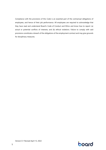Compliance with the provisions of this Code is an essential part of the contractual obligations of employees, and hence of their job performance. All employees are required to acknowledge that they have read and understand Board's Code of Conduct and Ethics and know how to report: (a) actual or potential conflicts of interests; and (b) ethical violations. Failure to comply with said provisions constitutes a breach of the obligations of the employment contract and may give grounds for disciplinary measures.

### board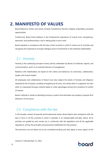### <span id="page-5-0"></span>**2. MANIFESTO OF VALUES**

Board believes in certain core values: honesty, transparency, fairness, integrity, impartiality, and equal opportunities.

Furthermore, Board firmly believes in the fundamental importance of mutual trust, transparency, teamwork, and professionalism, and in taking pride in one's work.

Board operates in compliance with the laws of the countries in which it carries out its activities and recognizes the importance of proper dialogue and of commitment to the individual stakeholders.

#### <span id="page-5-1"></span>2.1 Honesty

Honesty is the underlying principle of every activity undertaken by Board, its initiatives, reports, and communications, and it is an essential element of management.

Relations with Stakeholders are based on the criteria and behaviors of correctness, collaboration, loyalty, and mutual respect.

All employees and collaborators of Board must also respect the duties of honesty and diligence imparted by the Company, avoiding wrongdoing at all costs, not merely when it is apparent, but also when it is expressed through unlawful deeds or unfair advantages arising from situations of conflict of interest.

Board's attitude is aimed at identifying virtuous conduct that eliminates any tendency towards illicit behaviour at the source.

#### <span id="page-5-2"></span>2.2 Compliance with the law

In the broader context of essential and fundamental values, Board deems that compliance with the laws in force in all the countries in which it operates is an indispensable principle. Hence, all its activities are guided by and carried out in conformity with the legislation and all the applicable regulations, and by the principles and procedures established for that purpose.

The provisions set out below are to be considered binding and they apply to every aspect of the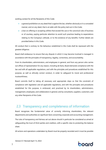working context for all the Recipients of this Code:

- a general prohibition on any deed that is against the law, whether obviously or in a concealed manner, and on any deed, that is at odds with the policy laid out in this Code;
- a ban on offering or accepting utilities that exceed the use or the canonical rules of business or of courtesy, paying particular attention to avoid such practices leading to expectations relating to the Company's attitude, or to the existence of any benefits. Further details are provided below in this Code.

All conduct that is contrary to the behaviour established in this Code shall be repressed with the greatest diligence.

Board shall endeavour to ensure that any dispute in which it may become involved is managed in accordance with the principles of transparency, legality, correctness, and accountability.

From its shareholders, administrators, and employees in general, and from any person who carries out offices of representation for any reason, including de facto, Board demands compliance with the law and with all applicable regulations, and with the principles and procedures established for this purpose, as well as ethically correct conduct, in order to safeguard its moral and professional trustworthiness.

Board commits itself to taking all necessary and appropriate steps so that the constraint of compliance with legislation and all applicable regulations, and with the principles and procedures established for this purpose, is embraced, and practiced by its shareholders, administrators, management, employees, and collaborators in general, and by consultants, suppliers, customers, and any other Recipients of this Code.

#### <span id="page-6-0"></span>2.3 Transparency and completeness of information

Board recognizes the fundamental value of correctly informing shareholders, the relevant departments and authorities on significant facts concerning corporate and accounting management.

The rules of transparency and fairness set out above should in particular be considered as aimed at safeguarding the trust of third parties and creditors, with a specific view to protecting the balance sheet.

All actions and operations undertaken by Board must be properly recorded and it must be possible



Version 0.1 Revised April 13, 2022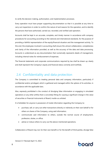to verify the decision-making, authorization, and implementation processes.

Every operation must have proper supporting documentation so that it is possible at any time to carry out inspections in order to confirm the nature of and reasons for the operation, and to identify the persons that have authorized, carried out, recorded, and verified said operation.

Accounts shall be kept in an accurate, complete, and timely manner in accordance with company procedures for accounting according to the national and international standards, for the purpose of providing a faithful representation of the equity/financial situation and the management activity. To this end, the employees involved in accounting shall ensure the utmost collaboration, completeness and clarity of the information provided, as well as the accuracy of the data and data processing. Accounts is understood as any documentation that numerically represents deeds of management, including internal notes for reimbursement of expenses.

The financial statements and corporate communications required by law shall be drawn up clearly and shall represent the Company's equity and financial status correctly and truthfully.

#### <span id="page-7-0"></span>2.4 Confidentiality and data protection

The Company is committed to treating personal data and company information, particularly if confidential and/or privileged, which is gathered and managed within the sphere of its activities, in accordance with the applicable laws.

Also, expressly prohibited is the conduct of divulging false information or engaging in simulated operations or any other artifice that is concretely fitting for causing a significant change in the value of securities or financial instruments of Board, insofar as unlisted.

It is forbidden for anyone in possession of inside information regarding the Company to:

- purchase, sell, or carry out other transactions directly or indirectly on their own behalf or for others on shares of the Company, using said information;
- communicate said information to others, outside the normal course of employment, profession, duties, or office;
- advise or induce others to carry out the above-mentioned operations.

Collaborators of Board may not, for their own benefit or for the benefit of third parties, divulge false

# boord

Version 0.1 Revised April 13, 2022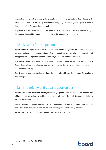information regarding the Company (for example, economic-financial data or data relating to the management), which, as such, is capable of determining a significant change in the price of financial instruments of the Company, insofar as unlisted.

In general, it is prohibited for anyone to solicit or issue confidential or privileged information, or information that could compromise the integrity or the reputation of the parties.

#### <span id="page-8-0"></span>2.5 Respect for the person

Board promotes respect for the physical, moral, and cultural integrity of the person, guarantees working conditions that respect the dignity of the individual, and safe workplaces, and commits itself to applying the appropriate legislation and employment contracts to its employees.

Board resists demands or threats aimed at inducing people to break the law or violate the Code of Conduct and Ethics, or to adopt conduct that is detrimental to the moral and personal convictions and preferences of anyone.

Board supports and respects human rights, in conformity with the UN Universal Declaration of Human Rights.

#### <span id="page-8-1"></span>2.6 Impartiality and equal opportunities

Board eschews all discrimination on the grounds of age, gender, sexual orientation and identity, state of health, ethnicity, nationality, political opinions, and religious beliefs in all decisions that influence relations with its stakeholders.

During the selection and recruitment process for personnel, Board observes meritocratic principles and values of equality, non-discrimination, and equal opportunities for every individual.

All the above happens in complete compliance with laws and regulations.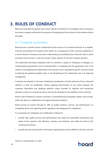### <span id="page-9-0"></span>**3. RULES OF CONDUCT**

Below are illustrated the general rules, which indicate the behavior to be adopted when carrying out the various company activities for the purpose of complying with the contents of the reference ethical principles.

#### <span id="page-9-1"></span>3.1 Towards customers

Board pursues a growth process conditioned by the success of its customers because, as a supplier, it ties the achievement of its goals to their results. As a consequence of this, customer satisfaction is a crucial element of business and work; understanding and satisfying their demands, both in terms of product and of service, is and must remain a basic element of how the Company operates.

The relationship that Board establishes with its customers is based on willingness to dialogue, on understanding requirements, and on professionalism in complying with the agreements, also in the context of consolidating the relationship in the long term and is regulated by specific contracts aimed at attaining the greatest possible clarity in the disciplining of the relationship and in its balanced management.

Customers are selected on the basis of balanced consideration of all the elements of the contractual relations, as they are established, without applying discrimination of any nature between the customers themselves and adopting selection criteria founded on objective and transparent elements, strictly of a commercial nature, that can be attributed to the reliability of the contractor.

Board's style of behaviour towards customers is characterized by accessibility, respect, and courtesy, within the sphere of collaborative and highly professional relations.

Board pursues its mission through its offer of quality products, services, and performances, on competitive terms and respecting all the regulations that safeguard fair competition.

It is compulsory for employees and collaborators of Board to:

- provide high quality services and performances that satisfy the reasonable expectations and needs of the customer, with efficiency, courtesy, and timeliness, and within the limits of the contractual provisions;
- provide accurate and exhaustive information regarding the services offered so that the customer

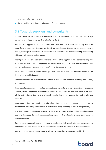may make informed decisions;

be truthful in advertising and other types of communication.

#### <span id="page-10-0"></span>3.2 Towards suppliers and consultants

Suppliers and consultants play an essential role in company strategy, and in the obtainment of high performance and quality standards to offer to the client.

Relations with suppliers are founded on compliance with principles of correctness, transparency, and good faith; procurement decisions are based on objective and transparent parameters, such as quality, service, price, and assistance. All the activities undertaken are aimed at creating a relationship of lasting collaboration and partnership.

Board performs the processes of research and selection of its suppliers in accordance with objective and documentable criteria of competitiveness, quality, objectivity, correctness, and respectability, and in line with the principles referred to in this Code of Conduct and Ethics.

In all cases, the products and/or services provided must result from concrete company within the limits of the available budget.

Collaborators involved must orient their efforts in relations with suppliers faithfully, transparently, and honestly.

Processes of purchasing goods and services, both professional and not, are characterized by seeking out the greatest competitive advantage, understood as the greatest possible satisfaction of the needs of the end customer, the granting of equal opportunities for the persons involved, loyalty, and impartiality.

Contract procedures with suppliers must be informed on the clarity and transparency and they must tend towards preventing Board and third parties from being bound by commercial dependency.

Board requires its suppliers and external collaborators to respect the law and its ethical principles, deeming this aspect to be of fundamental importance in the establishment and continuation of business relations.

Every supplier, commercial partner and external collaborator shall be duly informed on the existence of the Code of Conduct and Ethics and the commitments that are required in accordance with it. When stipulating supply contracts and in all other aspects of the contractual activities, it is essential

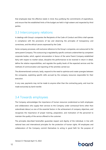that employees bear the effective needs in mind, thus justifying the commitments of expenditure, and ensure that the established limits of the budget are held in high esteem and respected by third parties.

#### <span id="page-11-0"></span>3.3 Intercompany relations

In dealings with Group's companies the Recipients of the Code of Conduct and Ethics shall operate in compliance with the provisions of law and observing the principles of transparency and correctness, and the ethical canons expressed by the Code.

Some company processes, with exclusive reference to the Group's companies, are outsourced to the same parent Company. This outsourcing is regulated by specific contracts underwritten by competent corporate bodies, which, against remuneration in favour of the same Parent Company established fairly with respect to market values, discipline the performances to be received in return in detail, define the relative responsibilities, and regulate the quality levels of the expected services and the methods of communication and reporting of the activities carried out.

The aforementioned contracts, lastly, respond to the need to optimize and create synergies between the companies, exploiting specific skills accrued by the company resources responsible for their execution.

In any case, payments may not be made to anyone other than the contracting party, and must be made exclusively by bank transfer.

#### <span id="page-11-1"></span>3.4 Towards employees

The Company acknowledges the importance of human resources (understood as both employees and collaborators who supply their services to the Company under contractual forms other than subordinate labour) as one of the essential factors in the achievement of company objectives, and recognizes the importance of proper training, preparation, and motivation of the personnel to maintain the quality of the service offered to the customer.

The principles described hereinafter guarantee respect and dignity of the individual, in line with national laws and international principles for the protection of human rights. All employees and collaborators of the Company commit themselves to acting in good faith for the purpose of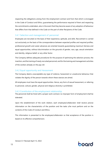respecting the obligations arising from the employment contract and from that which is envisaged in the Code of Conduct and Ethics, guaranteeing the performance required of them and respecting the commitments undertaken, also in the event that they become aware of any adoption of behaviour that differs from that defined in the Code on the part of other Recipients of the Code.

#### <span id="page-12-0"></span>3.4.1 Selection and management of personnel

Employees are recruited on the basis of their experience, aptitude, and skills. Recruitment is carried out exclusively on the basis of the correspondence between expected profiles and required profiles; professional growth and career advances are oriented towards guaranteeing maximum fairness and equal opportunities, without discrimination on the grounds of gender, race, age, sexual orientation and identity, religious belief, or any other factor.

The Company defines adequate procedures for the purpose of optimizing the selection process, the insertion, and the training of newly recruited personnel, and forthe training and management activities of the workers already on the pay roll.

#### <span id="page-12-1"></span>3.4.2 Equal opportunity and Harassment

The Company deems unacceptable any type of violence, harassment or unwelcome behaviour that violates the dignity of the person towards whom these stances are aimed.

All employees must have the equal opportunities. Hence, any form of sexual harassment, or referring to personal, cultural, gender, physical and religious diversity is prohibited.

#### <span id="page-12-2"></span>3.4.3 Constitution of the employment relationship

The personnel shall be hired with a proper work contract; no improper form of employment shall be tolerated.

Upon the establishment of the work relation, each employee/collaborator shall receive precise information on the characteristics of the position and the tasks s/he must perform and on the contents of this Code of Conduct and Ethics.

This information is presented to the employee/collaborator so that acceptance of the position is based on its effective comprehension.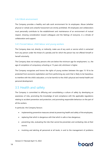#### 3.4.4 Work environment

The Company provides a healthy and safe work environment for its employees. Abuse (whether physical or verbal) and unlawful harassment are strictly prohibited. All employees and collaborators must personally contribute to the establishment and maintenance of an environment of mutual respect, showing consideration toward colleagues and the feelings of everyone, in a climate of collaboration and support.

#### 3.4.5 Forced labour, child labour and young workers

The Company does not, directly, or indirectly, make use of any work or service which is extracted from any person under the threat of a penalty and for which the person has not offered himself or herself voluntarily.

The Company does not employ persons who are below the minimum age for employment, i.e., the age of completion of compulsory schooling or 15 years old, whichever is higher.

The Company recognizes and honors the rights of young workers between the ages 15-18 to be protected from economic exploitation and from performing any work that is likely to be hazardous, to interfere with the child's education, or to be harmful to the child's physical and mental health and personal development.

#### <span id="page-13-0"></span>3.5 Health and safety

The Company is committed to diffusing and consolidating a culture of safety by developing an awareness of risks, promoting the knowledge of and compliance with the applicable regulations relating to accident prevention and protection, and promoting responsible behaviour on the part of all the workers.

In particular, the Company favours:

- implementing preventive measures aimed at preserving health and safety of the employees;
- replacing that which is dangerous with that which is safe or less dangerous;
- preventing risks, evaluating the risks that cannot be prevented, and combating risks at their source;
- involving and alerting all personnel at all levels, in and to the management of problems

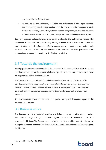inherent to safety in the workplace;

• guaranteeing the comprehension, application and maintenance of the proper operating procedures, the applicable safety standards, and the provisions of the management, at all levels of the company organization, in the knowledge that properly training and informing workers is fundamental for improving company performance and safety in the workplace.

Every employee and collaborator must avoid exposing others to risks and dangers that could be detrimental to their health and physical safety, bearing in mind that each worker is responsible and must act with the objective of ensuring effective management of the safety and health of the work environment. Everyone is involved, and therefore called upon to be an active participant in the constant improvement of the conditions of safety in the workplace.

#### <span id="page-14-0"></span>3.6 Towards the environment

Board pays the greatest attention to the environment and to the communities in which it operates and draws inspiration from the objectives indicated by the international conventions on sustainable development to which Switzerland adheres.

The Company is continuously exploring solutions to reduce the environmental impact of its activities and products, recognizing that environmental sustainability is an important factor for long-term business success. Environmental resources are used responsibly, and the Company continually strive to conduct our business in an environmentally responsible and sustainable manner.

Our business operations are conducted with the goal of having as little negative impact on the environment as possible.

#### <span id="page-14-1"></span>3.7 Business ethics

The Company prohibits fraudulent practices and behaviour, actual or attempted corruption, favouritism, and in general any conduct that is against the law and in violation of that which is envisaged in this Code. The Company is committed to integrity and ethical conduct in the area of corruption prevention and detection. Therefore, it has adopted a zero-tolerance policy of corruption in all its forms.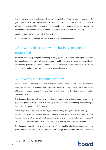The Company refuse to accept or retain business through bribery. Personnel may not receive or offer gifts or presents that could be interpreted as exceeding normal commercial practices or courtesy, or which in any case could be interpreted as being made for the purpose of acquiring preferential treatment for the donor or in the performance of activities associated with the Company.

Applicable anti-bribery laws are strictly followed.

For compliance with Antibribery law, please refer to Board Antibribery Policy.

#### <span id="page-15-0"></span>3.8 Towards those with whom business relations are established

Board ensures honesty, integrity, and equity in every sphere of its activities, and expects the same behaviour in the relations with all those with whom it establishes business ties. Agents, intermediaries, joint-venture partners, etc. must be informed of the existence of the Code and of its relative commitments, and they must commit themselves to fulfilling them.

#### <span id="page-15-1"></span>3.9 Towards Public Administrations

Relations between Board and Public Administrations – whether trade-oriented or not – are based on principles of fairness, transparency, and collaboration, as well as on strict adherence to the provisions of law and the applicable regulations, and they may not compromise the integrity or the reputation of the Company.

The Company distances itself from any behaviour that may be interpreted as a promise or offer of payments, goods, or other utilities of various types, for the purpose of promoting and favouring its interests, and drawing benefit from them.

Board emphatically prohibits its employees, collaborators, or representatives from giving or promising public officials, persons assigned to public service, or in general, employees of Public Administrations or other Public Institutions, any money, or gifts in kind to induce them to commit, delay or omit deeds of their office, or carry out acts that are contrary to their official duties.

The Company is committed to avoiding any form of gifts to public officials or persons assigned to public service of any kind, or to their relatives, even through intermediaries, which could influence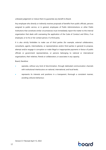unbiased judgement or induce them to guarantee any benefit to Board.

Any employee who directly or indirectly receives proposals of benefits from public officials, persons assigned to public service, or in general, employees of Public Administrations or other Public Institutions that constitute similar circumstances must immediately report the matter to the internal organization that deals with overseeing the application of the Code of Conduct and Ethics, if an employee, or to his or her contact person, if a third party.

It is also strictly forbidden to make use of third parties (for example, external collaborators, consultants, agents, intermediaries, or representatives and/or third parties in general) to propose, attempt and/or engage in corruption or make illegal or inappropriate payments in favour of public officials or government representatives, or persons belonging to national or international organizations, their relatives, friends or collaborators, or associates in any capacity.

Board, therefore:

- operates, without any kind of discrimination, through dedicated communication channels with institutional interlocutors on national, international, and local levels;
- represents its interests and positions in a transparent, thorough a consistent manner, avoiding collusive behaviour;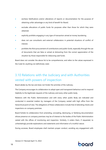- eschews falsifications and/or alterations of reports or documentation for the purpose of obtaining unfair advantage or any kind of benefit for Board;
- excludes allocations of public funds for purposes other than those for which they were obtained;
- explicitly prohibits engaging in any type of transaction aimed at money laundering.
- does not use consultants and external collaborators in potential situations of conflict of interest;
- prohibits the illicit procurement of contributions and public funds, especially through the use of documents that are false or aimed at distracting from the correct appreciation of the situation by those responsible for disbursing said funds.

Board does not consider the above list to be comprehensive, and refers to the values expressed in the Code for anything not definitively ruled.

### <span id="page-17-0"></span>3.10 Relations with the Judiciary and with Authorities vested with powers of inspection

Board abides by the law and does not hinder the activities of the Judiciary.

The Company encourages its collaborators to adopt open and transparent behaviour and to respond helpfully to the legitimate requests of the Judiciary and every other public body.

Relations with the Public Administration and with every other public Body are indicated and conducted in essential matters by managers of the Company vested with high office from the hierarchical point of view. The obligations of these collaborators include that of attending checks and inspections on company premises.

Board forbids its collaborators from amending, concealing, destroying, or falsifying documentation whose presence on company premises may be of interest to the bodies of the Public Administration vested with the offices of monitoring and inspection. Similarly, it orders them, if requested, to unhesitatingly provide explanations and statements and information of a truthful nature.

During accesses, Board employees shall maintain proper conduct, avoiding any engagement with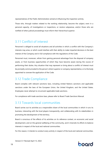representatives of the Public Administration aimed at influencing the inspection activity.

Those who, through matters related to the working relationship, become the subject, even in a personal capacity, of investigations or inspections, or receive subpoenas, and/or those who are notified of other judicial proceedings must inform their hierarchical superior.

#### <span id="page-18-0"></span>3.11 Conflict of interest

Personnel is obliged to avoid all situations and all activities in which a conflict with the Company's interests may arise, or which could interfere with their ability to make impartial decisions in the best interest of the Company and in full compliance with the regulations of the Code.

Personnel must, moreover, refrain from gaining personal advantage from the disposal of company assets, or from business opportunities of which they have become aware during the course of performing their duties. Any situation that may represent or bring about a conflict of interest must be promptly communicated to the person's direct superior or company representative, or to the body appointed to oversee the application of the Code.

#### <span id="page-18-1"></span>3.12 Trade Compliance

Board complies with relevant sanctions laws, including United Nations sanctions and applicable sanctions under the laws of the European Union, the United Kingdom, and the United States. Employees never attempt to circumvent applicable trade sanctions.

For compliance with trade sanctions laws, please refer to Board Trade Sanctions Manual.

#### <span id="page-18-2"></span>3.13 Towards local communities

Board carries out its activities as a responsible citizen of the local communities in which it runs its business, interacting with the local players transparently, and collaborating with its stakeholders in promoting the development of the territory.

Board is conscious of the effects of its activities on its reference context, on economic and social development, and on the general wellbeing of the community, and it channels its efforts to balance interests in respect of the local and national communities.

For this reason, it intends to conduct every activity in respect of the local and national communities.

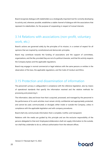Board recognizes dialogue with stakeholders as a strategically important tool for correctly developing its activity and, wherever possible, establishes a stable channel of dialogue with the associations that represent its stakeholders, for the purpose of cooperating in respect of mutual interests.

### <span id="page-19-0"></span>3.14 Relations with associations (non-profit, voluntary work, etc.)

Board's actions are governed solely by the principles of its mission, in a context of respect for all opinions that are inspired by constitutional and democratic principles.

Board may contribute towards the funding of associations and the support of committees, organizations, and the like, provided they are not of a political character, and that this activity respects the Company bylaws and the applicable regulations.

Board may engage in normal commercial or legal relations with the same persons or entities in the observation of the laws, the applicable regulations, and the Code of Conduct and Ethics.

#### <span id="page-19-1"></span>3.15 Protection and dissemination of information

The personnel's privacy is safeguarded in compliance with the reference legislation, also by means of operational standards that specify the information received and the relative methods for processing and preserving it.

The information, data and know-how that is acquired, processed, and managed by the personnel in the performance of its work activities must remain strictly confidential and appropriately protected, and cannot be used, communicated, or divulged, either inside or outside the Company, unless in compliance with the applicable legislation and with company procedures.

Board shall only communicate information that is complete, truthful, and transparent.

Relations with the media are guided by this principle and are the exclusive responsibility of the persons delegated to that end. Employees/collaborators shall not supply information to the outside, nor shall they undertake to do so, without authorization from the relevant offices.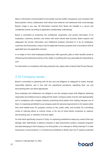Data or information communicated to the outside must be truthful, transparent, and consistent with Board policies. Hence, collaborators shall refrain from behavior and statements that could damage Board's image in any way. All information received from Board are handled in a secure and confidential manner according to applicable confidentiality undertakings.

Board is committed to protecting the confidential, proprietary, and private information of its employees, customers, partners, and others with whom Board does business. Board respects and safeguards the private information and intellectual property entrusted to it by its employees, customers and third parties, using it only for legitimate business purposes and in accordance with all applicable laws and applicable contracts.

In no shape or form shall employees/collaborators offer payments, gifts or other benefits aimed at influencing the professional activity of the media, or anything that may reasonably be interpreted as such.

For information on compliance with data protection law, please refer to Board Data Privacy Manual.

#### <span id="page-20-0"></span>3.16 Company assets

Board is committed to operating with all due care and diligence to safeguard its assets, through responsible behavior and in line with the operational procedures regulating their use and documenting their use where appropriate.

Every employee and collaborator are obliged to use the company assets with diligence, behaving responsibly and endeavouring to safeguard the assets. Company assets must be used appropriately and in compliance with company interests, preventing third parties from making improper use of them. It is expressly prohibited to use company assets for personal requirements or for reasons other than work-related ones, for purposes contrary to law, public order, and morality, for committing crimes or inducing others to commit crimes, or for acts of racial hatred, incitement to violence, discriminating acts, or violations of human rights.

For that which specifically concerns IT tools, it is expressly prohibited to adopt any conduct that may damage, alter, deteriorate, or destroy computer or data transmission systems, computer programs and data belonging to the Company or to third parties, or to intercept or illicitly interrupt IT or data transmission communications. It is furthermore prohibited to illicitly hack into IT systems protected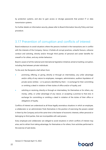by protection systems, and also to gain access or divulge passwords that protect IT or data transmission systems.

For further details on Information security, please refer to Board Information Security Policy and User procedure.

#### <span id="page-21-0"></span>3.17 Prevention of corruption and conflicts of interest

Board endeavours to avoid situations where the persons involved in the transactions are in conflict with the interests of the Company. Hence, it forbids all corrupt practices, unlawful favours, collusive conduct and soliciting, directly and/or through third parties of personal and career benefits for oneself or for others, and any similar behaviour.

Board is aware of all the national and international legislative initiatives aimed at tackling corruption, including that between private individuals.

To this end, the Recipients shall refrain from:

- promising, offering, or giving, directly or through an intermediary, any unfair advantage and/or utility of any nature to employees, managers, administrators, auditors liquidators of private sector entities – or to persons identified by them – in exchange for their committing or omitting a deed in violation of their duties of office and/or of loyalty; and
- soliciting or receiving, directly or through an intermediary, for themselves or for others, any money, utility, or unfair advantage of any nature, or accepting a promise to that end, in exchange for committing or omitting a deed in violation of the duties of their office or obligations of loyalty.

Conflicts of interest are understood as all those legally anomalous situations in which an employee, a collaborator or an administrator finds themselves in the position of exercising the powers vested in them by the Company and at the same time is the bearer of economic interests, either personal or belonging to third parties, that are incompatible with said powers.

Every employee and collaborator are obliged to avoid situations in which conflicts of interest may arise, and to refrain from taking advantage, for themselves or for others, from activities performed in the exercise of said duties.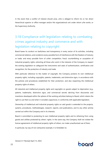In the event that a conflict of interest should arise, s/he is obliged to inform his or her direct hierarchical superior or office manager and/or the organizational unit under whom s/he works, or the Supervisory Authority.

### <span id="page-22-0"></span>3.18 Compliance with legislation relating to combating crimes against industry and commerce and with legislation relating to copyright

Board bases its conduct on lawfulness and transparency in every sector of its activities, including commercial relations, and condemns every possible form of interference with the freedom of industry or trade, and every possible form of unfair competition, fraud, counterfeiting or usurpation of industrial property rights, exhorting all those who work in the interests of the Company to respect the existing legislation to safeguard the instruments and seals of authentication, certification and recognition, for the protection of industry and trade.

With particular reference to the matter of copyright, the Company protects its own intellectual property rights, including copyrights, patents, trademarks, and distinctive signs, in accordance with the policies and procedures established for their protection, and also respecting the intellectual property rights of others.

All industrial and intellectual property rights and copyrights on goods subject to deprivation (e.g., patents, trademarks, distinctive signs, and commercial secrets deriving from discoveries and inventions developed within the sphere of the working activities) belong to Board, which retains the right to use them as and when it considers opportune, in conformity with applicable legislation.

Ownership of intellectual and industrial property rights on said goods is extended to the projects, systems, procedures, methodologies, research, reports, and publications, and to any other activity carried out within the Company and in its interests.

Board is committed to protecting its own intellectual property rights and to refraining from using goods and utilities protected by others' rights. In the same way, the Company shall not violate the license agreements of intellectual property rights of others, nor make unauthorized use of them.

In particular, by way of non-exhaustive example, it is forbidden to: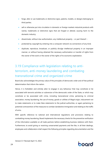- forge, alter or use trademarks or distinctive signs, patents, models, or designs belonging to third parties;
- sell or otherwise put into circulation in domestic or foreign markets industrial products with names, trademarks or distinctive signs that are forged or altered, causing harm to the domestic industry;
- disseminate, without due authorization, any intellectual property or part thereof –
- protected by copyright by entering into a computer network via connections of any kind;
- duplicate, reproduce, broadcast, or publicly divulge intellectual property in an improper manner, or without having obtained the necessary authorization or transfer of rights from the owner of the work or the owner of the rights of its economic exploitation.

### <span id="page-23-0"></span>3.19 Compliance with legislation relating to antiterrorism, anti-money laundering and combating transnational crime and organized crime

Board also acknowledges the primary value of the principles of democratic order and of free political determination that inform the nation.

Hence, it is forbidden and entirely alien to engage in any behaviour that may constitute or be associated with terrorist activities or subversion of the democratic order of the State, or which may constitute or be associated with crime, including transnational crime, pertaining to criminal association, money laundering, the use of money, goods or utilities of illegal origin, inducement not to make statements or to make false statements to the judicial authorities, or again pertaining to potential contravention of the measures to combat clandestine immigration and relating to the traffic of arms.

With specific reference to national and international regulations and provisions relating to combatting money laundering, Board implements the necessary checks for the preventive verification of the information available on all trade partners before establishing business relations with them. Furthermore, to avoid giving or receiving unwarranted payments and the like, in all their dealings, employees and collaborators shall respect the following principles regarding documentation and the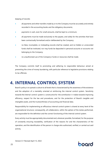keeping of records:

- all payments and other transfers made by or to the Company must be accurately and entirely recorded in the accounting books and the obligatory documents;
- payments in cash, even for small amounts, shall be kept to a minimum;
- all payments must be made exclusively to the payees, and solely for the activities that have been contractually formalized and/or deliberated by the Company;
- no false, incomplete, or misleading records shall be created, and no hidden or unrecorded funds shall be instituted, nor may funds be deposited in personal accounts or accounts not belonging to the Company;
- no unauthorized use of the Company's funds or resources shall be made.

The Company commits itself to promoting and adhering to responsible behaviour aimed at preventing the crime of money laundering, with particular reference to legislative provisions relating to tax offenses.

### <span id="page-24-0"></span>**4. INTERNAL CONTROL SYSTEM**

Board's policy is to spread a culture to all levels that is characterized by the awareness of the existence and the adoption of a mentality oriented at reinforcing the internal control system. Sensitivity towards the internal control system is constructive for the contribution it makes towards improving efficiency, respect for the law and procedures, and for the protection of Board's tangible and intangible assets, and the trustworthiness of accounting and financial data.

Responsibility for implementing an efficacious internal control system is shared at every level of the organizational structure; consequently, all collaborators, within the sphere of the duties performed, are responsible for the definition and the correct functioning of the internal control system.

Every activity must be appropriately documented and, wherever possible, formalized, for the purpose of constantly ensuring traceability, verification of the reasons for and the characteristics of the operation, and the identification of the person in charge who authorized, verified, or carried out said activity.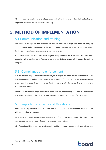All administrators, employees, and collaborators, each within the sphere of their skills and duties, are required to observe the procedures scrupulously.

### <span id="page-25-0"></span>**5. METHOD OF IMPLEMENTATION**

#### <span id="page-25-1"></span>5.1 Communication and training

The Code is brought to the attention of the stakeholders through the tools of company communication and is disseminated to the Recipients in accordance with the most suitable methods for the purpose, including encounters and training material.

A Code of Conduct and Ethics awareness program is implemented and maintained to address ethics education within the Company. The user must take the training as part of Corporate Compliance Program.

#### <span id="page-25-2"></span>5.2 Compliance and enforcement

It is the personal responsibility of every employee, manager, executive officer, and member of the board of directors to understand and comply with the Code of Conduct and Ethics. Managers should ensure that their subordinates fully understand and comply with the standards and requirements stipulated in the Code.

Board does not tolerate illegal or unethical behaviors. Anyone violating the Code of Conduct and Ethics may be subject to disciplinary action, up to and including termination of employment.

#### <span id="page-25-3"></span>5.3 Reporting concerns and Violations

Violations, or suspected misconducts, of the Code of Conduct and Ethics should be escalated in line with the reporting procedures.

In particular, if an employee suspects an infringement of the Code of Conduct and Ethics, the concern may be reported anonymously through the whistleblowing system.

All information will be treated with confidentiality and in compliance with the applicable privacy laws.

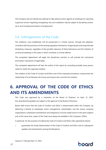The Company will not tolerate any attempt to take adverse action against an employee for reporting a genuine concern regarding wrongdoing. Any such retaliation may be subject to disciplinary action, up to and including termination of employment.

#### <span id="page-26-0"></span>5.4 Infringements of the Code

The violations, once established, will be prosecuted in a timely manner, through the adoption, consistent with the provisions of the existing regulatory framework, of appropriate and proportionate disciplinary measures, regardless of the possible relevance of these behaviours and the initiation of criminal proceedings in the cases in which constitute a criminal offense.

The competent department will apply the disciplinary sanction or will activate the contractual termination mechanism (if applicable).

The competent department will hear the author of the report by consulting possibly every person useful to clarify the supposed violation.

The violation of the Code of Conduct and Ethics and of the corporate procedures compromises the relationship of trust between the Group and anyone who commits the violation.

### <span id="page-26-1"></span>**6. APPROVAL OF THE CODE OF ETHICS AND ITS AMENDMENTS**

This Code was approved by a resolution of the Board of Directors on April 13, 2022. Any amendments/updates are subject to the approval of the Board of Directors.

Board shall ensure that the Code of Conduct and Ethics is disseminated within the Company, by delivering it directly to employees, senior management, shareholders, and the various company organizations; subsequent amendments and integrations must be made known to the same subjects and, at the same time, copies of the Code must always be available in the Company's Office.

In particular, for the purpose of making the Code of Conduct and Ethics fully operational, Board:

• guarantees the timely dissemination of the Code of Conduct and Ethics and its subsequent updates and amendments among the Recipients;